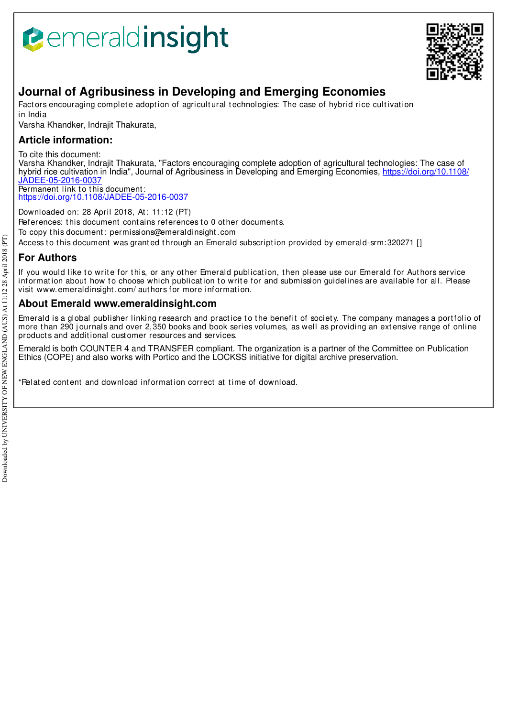# **B**emeraldinsight



# **Journal of Agribusiness in Developing and Emerging Economies**

Factors encouraging complete adoption of agricultural technologies: The case of hybrid rice cultivation in India

Varsha Khandker, Indrajit Thakurata,

# **Article information:**

To cite this document:

Varsha Khandker, Indrajit Thakurata, "Factors encouraging complete adoption of agricultural technologies: The case of hybrid rice cultivation in India", Journal of Agribusiness in Developing and Emerging Economies, https://doi.org/10.1108/ JADEE-05-2016-0037 Permanent link to this document:

https://doi.org/10.1108/JADEE-05-2016-0037

Downloaded on: 28 April 2018, At : 11:12 (PT) References: this document contains references to 0 other documents. To copy t his document : permissions@emeraldinsight .com Access to this document was granted through an Emerald subscription provided by emerald-srm:320271 []

# **For Authors**

If you would like to write for this, or any other Emerald publication, then please use our Emerald for Authors service information about how to choose which publication to write for and submission guidelines are available for all. Please visit www.emeraldinsight .com/ aut hors for more informat ion.

# **About Emerald www.emeraldinsight.com**

Emerald is a global publisher linking research and practice to the benefit of society. The company manages a portfolio of more than 290 journals and over 2,350 books and book series volumes, as well as providing an extensive range of online product s and addit ional cust omer resources and services.

Emerald is both COUNTER 4 and TRANSFER compliant. The organization is a partner of the Committee on Publication Ethics (COPE) and also works with Portico and the LOCKSS initiative for digital archive preservation.

\*Relat ed cont ent and download informat ion correct at t ime of download.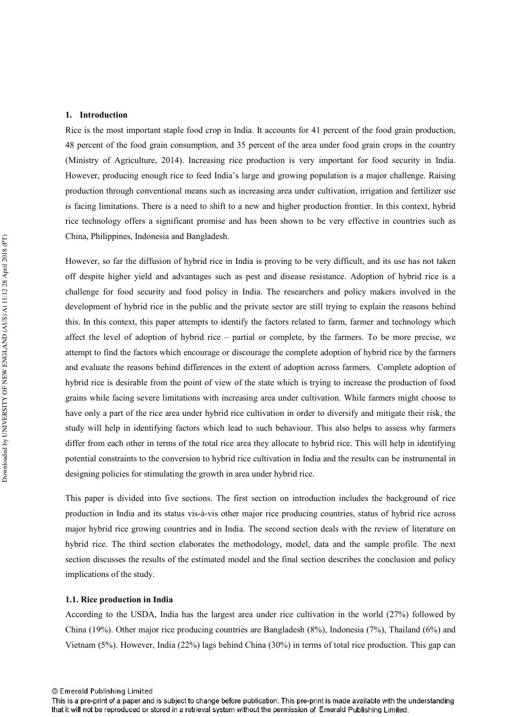#### 1. Introduction

Rice is the most important staple food crop in India. It accounts for 41 percent of the food grain production, 48 percent of the food grain consumption, and 35 percent of the area under food grain crops in the country (Ministry of Agriculture, 2014). Increasing rice production is very important for food security in India. However, producing enough rice to feed India's large and growing population is a major challenge. Raising production through conventional means such as increasing area under cultivation, irrigation and fertilizer use is facing limitations. There is a need to shift to a new and higher production frontier. In this context, hybrid rice technology offers a significant promise and has been shown to be very effective in countries such as China, Philippines, Indonesia and Bangladesh.

However, so far the diffusion of hybrid rice in India is proving to be very difficult, and its use has not taken off despite higher yield and advantages such as pest and disease resistance. Adoption of hybrid rice is a challenge for food security and food policy in India. The researchers and policy makers involved in the development of hybrid rice in the public and the private sector are still trying to explain the reasons behind this. In this context, this paper attempts to identify the factors related to farm, farmer and technology which affect the level of adoption of hybrid rice – partial or complete, by the farmers. To be more precise, we attempt to find the factors which encourage or discourage the complete adoption of hybrid rice by the farmers and evaluate the reasons behind differences in the extent of adoption across farmers. Complete adoption of hybrid rice is desirable from the point of view of the state which is trying to increase the production of food grains while facing severe limitations with increasing area under cultivation. While farmers might choose to have only a part of the rice area under hybrid rice cultivation in order to diversify and mitigate their risk, the study will help in identifying factors which lead to such behaviour. This also helps to assess why farmers differ from each other in terms of the total rice area they allocate to hybrid rice. This will help in identifying potential constraints to the conversion to hybrid rice cultivation in India and the results can be instrumental in designing policies for stimulating the growth in area under hybrid rice.

This paper is divided into five sections. The first section on introduction includes the background of rice production in India and its status vis-à-vis other major rice producing countries, status of hybrid rice across major hybrid rice growing countries and in India. The second section deals with the review of literature on hybrid rice. The third section elaborates the methodology, model, data and the sample profile. The next section discusses the results of the estimated model and the final section describes the conclusion and policy implications of the study.

#### 1.1. Rice production in India

According to the USDA, India has the largest area under rice cultivation in the world (27%) followed by China (19%). Other major rice producing countries are Bangladesh (8%), Indonesia (7%), Thailand (6%) and Vietnam (5%). However, India (22%) lags behind China (30%) in terms of total rice production. This gap can

This is a pre-print of a paper and is subject to change before publication. This pre-print is made available with the understanding that it will not be reproduced or stored in a retrieval system without the permission of Emerald Publishing Limited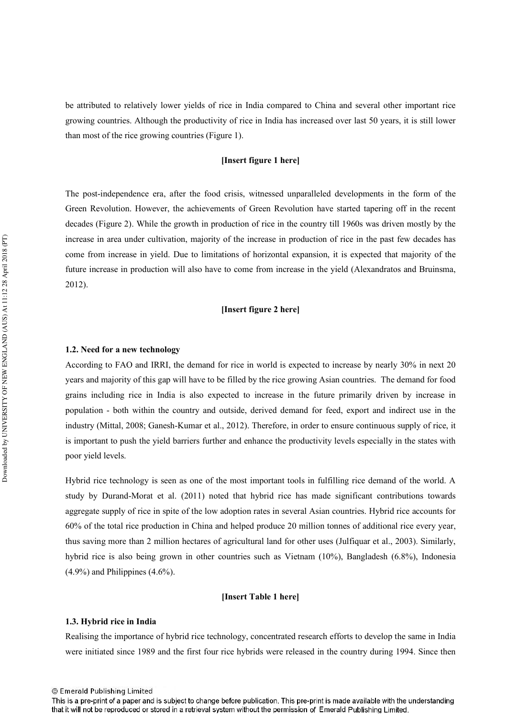be attributed to relatively lower yields of rice in India compared to China and several other important rice growing countries. Although the productivity of rice in India has increased over last 50 years, it is still lower than most of the rice growing countries (Figure 1).

#### [Insert figure 1 here]

The post-independence era, after the food crisis, witnessed unparalleled developments in the form of the Green Revolution. However, the achievements of Green Revolution have started tapering off in the recent decades (Figure 2). While the growth in production of rice in the country till 1960s was driven mostly by the increase in area under cultivation, majority of the increase in production of rice in the past few decades has come from increase in yield. Due to limitations of horizontal expansion, it is expected that majority of the future increase in production will also have to come from increase in the yield (Alexandratos and Bruinsma, 2012).

#### [Insert figure 2 here]

#### 1.2. Need for a new technology

According to FAO and IRRI, the demand for rice in world is expected to increase by nearly 30% in next 20 years and majority of this gap will have to be filled by the rice growing Asian countries. The demand for food grains including rice in India is also expected to increase in the future primarily driven by increase in population 2 both within the country and outside, derived demand for feed, export and indirect use in the industry (Mittal, 2008; Ganesh-Kumar et al., 2012). Therefore, in order to ensure continuous supply of rice, it is important to push the yield barriers further and enhance the productivity levels especially in the states with poor yield levels.

Hybrid rice technology is seen as one of the most important tools in fulfilling rice demand of the world. A study by Durand-Morat et al. (2011) noted that hybrid rice has made significant contributions towards aggregate supply of rice in spite of the low adoption rates in several Asian countries. Hybrid rice accounts for 60% of the total rice production in China and helped produce 20 million tonnes of additional rice every year, thus saving more than 2 million hectares of agricultural land for other uses (Julfiquar et al., 2003). Similarly, hybrid rice is also being grown in other countries such as Vietnam (10%), Bangladesh (6.8%), Indonesia  $(4.9\%)$  and Philippines  $(4.6\%)$ .

#### [Insert Table 1 here]

#### 1.3. Hybrid rice in India

Realising the importance of hybrid rice technology, concentrated research efforts to develop the same in India were initiated since 1989 and the first four rice hybrids were released in the country during 1994. Since then

This is a pre-print of a paper and is subject to change before publication. This pre-print is made available with the understanding that it will not be reproduced or stored in a retrieval system without the permission of Emerald Publishing Limited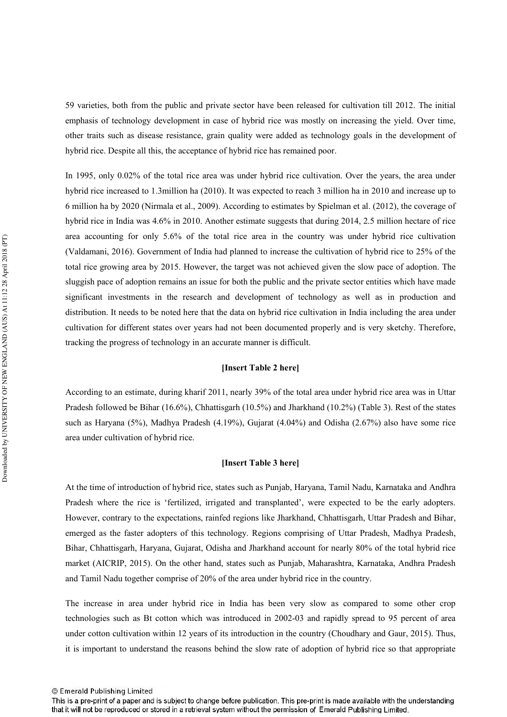59 varieties, both from the public and private sector have been released for cultivation till 2012. The initial emphasis of technology development in case of hybrid rice was mostly on increasing the yield. Over time, other traits such as disease resistance, grain quality were added as technology goals in the development of hybrid rice. Despite all this, the acceptance of hybrid rice has remained poor.

In 1995, only 0.02% of the total rice area was under hybrid rice cultivation. Over the years, the area under hybrid rice increased to 1.3million ha (2010). It was expected to reach 3 million ha in 2010 and increase up to 6 million ha by 2020 (Nirmala et al., 2009). According to estimates by Spielman et al. (2012), the coverage of hybrid rice in India was 4.6% in 2010. Another estimate suggests that during 2014, 2.5 million hectare of rice area accounting for only 5.6% of the total rice area in the country was under hybrid rice cultivation (Valdamani, 2016). Government of India had planned to increase the cultivation of hybrid rice to 25% of the total rice growing area by 2015. However, the target was not achieved given the slow pace of adoption. The sluggish pace of adoption remains an issue for both the public and the private sector entities which have made significant investments in the research and development of technology as well as in production and distribution. It needs to be noted here that the data on hybrid rice cultivation in India including the area under cultivation for different states over years had not been documented properly and is very sketchy. Therefore, tracking the progress of technology in an accurate manner is difficult.

# [Insert Table 2 here]

According to an estimate, during kharif 2011, nearly 39% of the total area under hybrid rice area was in Uttar Pradesh followed be Bihar (16.6%), Chhattisgarh (10.5%) and Jharkhand (10.2%) (Table 3). Rest of the states such as Haryana (5%), Madhya Pradesh (4.19%), Gujarat (4.04%) and Odisha (2.67%) also have some rice area under cultivation of hybrid rice.

## **Insert Table 3 herel**

At the time of introduction of hybrid rice, states such as Punjab, Haryana, Tamil Nadu, Karnataka and Andhra Pradesh where the rice is 'fertilized, irrigated and transplanted', were expected to be the early adopters. However, contrary to the expectations, rainfed regions like Jharkhand, Chhattisgarh, Uttar Pradesh and Bihar, emerged as the faster adopters of this technology. Regions comprising of Uttar Pradesh, Madhya Pradesh, Bihar, Chhattisgarh, Haryana, Gujarat, Odisha and Jharkhand account for nearly 80% of the total hybrid rice market (AICRIP, 2015). On the other hand, states such as Punjab, Maharashtra, Karnataka, Andhra Pradesh and Tamil Nadu together comprise of 20% of the area under hybrid rice in the country.

The increase in area under hybrid rice in India has been very slow as compared to some other crop technologies such as Bt cotton which was introduced in 2002-03 and rapidly spread to 95 percent of area under cotton cultivation within 12 years of its introduction in the country (Choudhary and Gaur, 2015). Thus, it is important to understand the reasons behind the slow rate of adoption of hybrid rice so that appropriate

This is a pre-print of a paper and is subject to change before publication. This pre-print is made available with the understanding that it will not be reproduced or stored in a retrieval system without the permission of Emerald Publishing Limited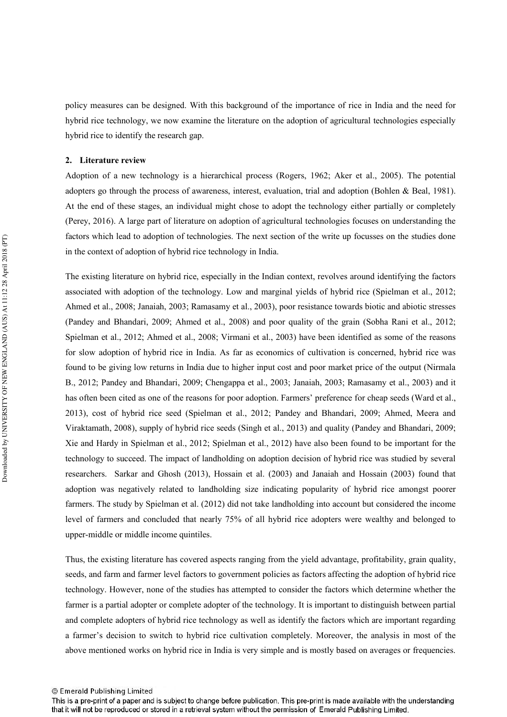policy measures can be designed. With this background of the importance of rice in India and the need for hybrid rice technology, we now examine the literature on the adoption of agricultural technologies especially hybrid rice to identify the research gap.

#### 2. Literature review

Adoption of a new technology is a hierarchical process (Rogers, 1962; Aker et al., 2005). The potential adopters go through the process of awareness, interest, evaluation, trial and adoption (Bohlen & Beal, 1981). At the end of these stages, an individual might chose to adopt the technology either partially or completely (Perey, 2016). A large part of literature on adoption of agricultural technologies focuses on understanding the factors which lead to adoption of technologies. The next section of the write up focusses on the studies done in the context of adoption of hybrid rice technology in India.

The existing literature on hybrid rice, especially in the Indian context, revolves around identifying the factors associated with adoption of the technology. Low and marginal yields of hybrid rice (Spielman et al., 2012; Ahmed et al., 2008; Janaiah, 2003; Ramasamy et al., 2003), poor resistance towards biotic and abiotic stresses (Pandey and Bhandari, 2009; Ahmed et al., 2008) and poor quality of the grain (Sobha Rani et al., 2012; Spielman et al., 2012; Ahmed et al., 2008; Virmani et al., 2003) have been identified as some of the reasons for slow adoption of hybrid rice in India. As far as economics of cultivation is concerned, hybrid rice was found to be giving low returns in India due to higher input cost and poor market price of the output (Nirmala B., 2012; Pandey and Bhandari, 2009; Chengappa et al., 2003; Janaiah, 2003; Ramasamy et al., 2003) and it has often been cited as one of the reasons for poor adoption. Farmers' preference for cheap seeds (Ward et al., 2013), cost of hybrid rice seed (Spielman et al., 2012; Pandey and Bhandari, 2009; Ahmed, Meera and Viraktamath, 2008), supply of hybrid rice seeds (Singh et al., 2013) and quality (Pandey and Bhandari, 2009; Xie and Hardy in Spielman et al., 2012; Spielman et al., 2012) have also been found to be important for the technology to succeed. The impact of landholding on adoption decision of hybrid rice was studied by several researchers. Sarkar and Ghosh (2013), Hossain et al. (2003) and Janaiah and Hossain (2003) found that adoption was negatively related to landholding size indicating popularity of hybrid rice amongst poorer farmers. The study by Spielman et al. (2012) did not take landholding into account but considered the income level of farmers and concluded that nearly 75% of all hybrid rice adopters were wealthy and belonged to upper-middle or middle income quintiles.

Thus, the existing literature has covered aspects ranging from the yield advantage, profitability, grain quality, seeds, and farm and farmer level factors to government policies as factors affecting the adoption of hybrid rice technology. However, none of the studies has attempted to consider the factors which determine whether the farmer is a partial adopter or complete adopter of the technology. It is important to distinguish between partial and complete adopters of hybrid rice technology as well as identify the factors which are important regarding a farmer's decision to switch to hybrid rice cultivation completely. Moreover, the analysis in most of the above mentioned works on hybrid rice in India is very simple and is mostly based on averages or frequencies.

This is a pre-print of a paper and is subject to change before publication. This pre-print is made available with the understanding that it will not be reproduced or stored in a retrieval system without the permission of Emerald Publishing Limited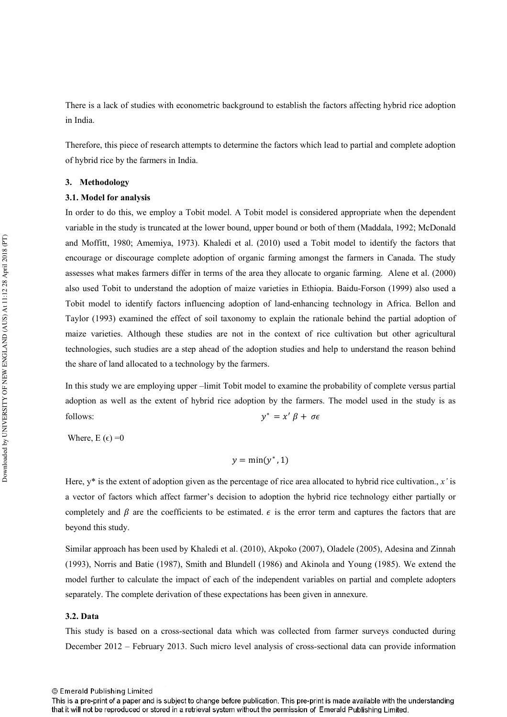There is a lack of studies with econometric background to establish the factors affecting hybrid rice adoption in India.

Therefore, this piece of research attempts to determine the factors which lead to partial and complete adoption of hybrid rice by the farmers in India.

#### 3. Methodology

#### 3.1. Model for analysis

In order to do this, we employ a Tobit model. A Tobit model is considered appropriate when the dependent variable in the study is truncated at the lower bound, upper bound or both of them (Maddala, 1992; McDonald and Moffitt, 1980; Amemiya, 1973). Khaledi et al. (2010) used a Tobit model to identify the factors that encourage or discourage complete adoption of organic farming amongst the farmers in Canada. The study assesses what makes farmers differ in terms of the area they allocate to organic farming. Alene et al. (2000) also used Tobit to understand the adoption of maize varieties in Ethiopia. Baidu-Forson (1999) also used a Tobit model to identify factors influencing adoption of land-enhancing technology in Africa. Bellon and Taylor (1993) examined the effect of soil taxonomy to explain the rationale behind the partial adoption of maize varieties. Although these studies are not in the context of rice cultivation but other agricultural technologies, such studies are a step ahead of the adoption studies and help to understand the reason behind the share of land allocated to a technology by the farmers.

In this study we are employing upper –limit Tobit model to examine the probability of complete versus partial adoption as well as the extent of hybrid rice adoption by the farmers. The model used in the study is as follows: \* =  $x' \beta + \sigma \epsilon$ 

Where, E  $(\epsilon) = 0$ 

# $y = min(y^*, 1)$

Here, y\* is the extent of adoption given as the percentage of rice area allocated to hybrid rice cultivation., *-* is a vector of factors which affect farmer's decision to adoption the hybrid rice technology either partially or completely and  $\beta$  are the coefficients to be estimated.  $\epsilon$  is the error term and captures the factors that are beyond this study.

Similar approach has been used by Khaledi et al. (2010), Akpoko (2007), Oladele (2005), Adesina and Zinnah (1993), Norris and Batie (1987), Smith and Blundell (1986) and Akinola and Young (1985). We extend the model further to calculate the impact of each of the independent variables on partial and complete adopters separately. The complete derivation of these expectations has been given in annexure.

#### 3.2. Data

This study is based on a cross-sectional data which was collected from farmer surveys conducted during December 2012 – February 2013. Such micro level analysis of cross-sectional data can provide information

This is a pre-print of a paper and is subject to change before publication. This pre-print is made available with the understanding that it will not be reproduced or stored in a retrieval system without the permission of Emerald Publishing Limited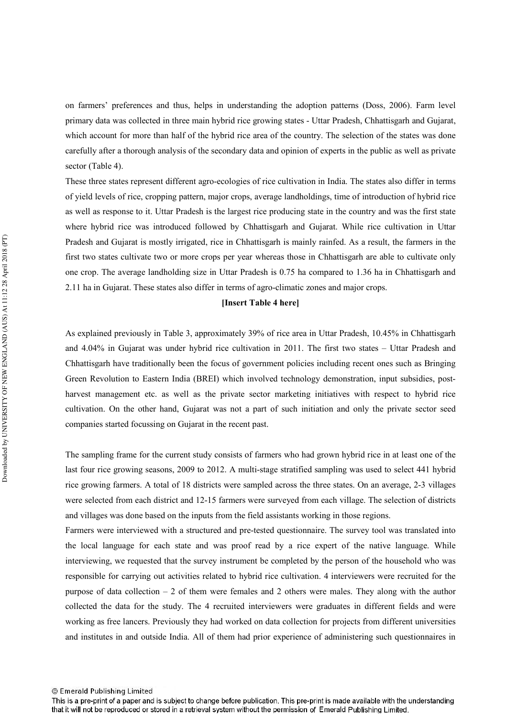on farmers' preferences and thus, helps in understanding the adoption patterns (Doss, 2006). Farm level primary data was collected in three main hybrid rice growing states - Uttar Pradesh, Chhattisgarh and Gujarat, which account for more than half of the hybrid rice area of the country. The selection of the states was done carefully after a thorough analysis of the secondary data and opinion of experts in the public as well as private sector (Table 4).

These three states represent different agro-ecologies of rice cultivation in India. The states also differ in terms of yield levels of rice, cropping pattern, major crops, average landholdings, time of introduction of hybrid rice as well as response to it. Uttar Pradesh is the largest rice producing state in the country and was the first state where hybrid rice was introduced followed by Chhattisgarh and Gujarat. While rice cultivation in Uttar Pradesh and Gujarat is mostly irrigated, rice in Chhattisgarh is mainly rainfed. As a result, the farmers in the first two states cultivate two or more crops per year whereas those in Chhattisgarh are able to cultivate only one crop. The average landholding size in Uttar Pradesh is 0.75 ha compared to 1.36 ha in Chhattisgarh and 2.11 ha in Gujarat. These states also differ in terms of agro-climatic zones and major crops.

# [Insert Table 4 here]

As explained previously in Table 3, approximately 39% of rice area in Uttar Pradesh, 10.45% in Chhattisgarh and 4.04% in Gujarat was under hybrid rice cultivation in 2011. The first two states – Uttar Pradesh and Chhattisgarh have traditionally been the focus of government policies including recent ones such as Bringing Green Revolution to Eastern India (BREI) which involved technology demonstration, input subsidies, post2 harvest management etc. as well as the private sector marketing initiatives with respect to hybrid rice cultivation. On the other hand, Gujarat was not a part of such initiation and only the private sector seed companies started focussing on Gujarat in the recent past.

The sampling frame for the current study consists of farmers who had grown hybrid rice in at least one of the last four rice growing seasons, 2009 to 2012. A multi-stage stratified sampling was used to select 441 hybrid rice growing farmers. A total of 18 districts were sampled across the three states. On an average, 223 villages were selected from each district and 12215 farmers were surveyed from each village. The selection of districts and villages was done based on the inputs from the field assistants working in those regions.

Farmers were interviewed with a structured and pre-tested questionnaire. The survey tool was translated into the local language for each state and was proof read by a rice expert of the native language. While interviewing, we requested that the survey instrument be completed by the person of the household who was responsible for carrying out activities related to hybrid rice cultivation. 4 interviewers were recruited for the purpose of data collection – 2 of them were females and 2 others were males. They along with the author collected the data for the study. The 4 recruited interviewers were graduates in different fields and were working as free lancers. Previously they had worked on data collection for projects from different universities and institutes in and outside India. All of them had prior experience of administering such questionnaires in

This is a pre-print of a paper and is subject to change before publication. This pre-print is made available with the understanding that it will not be reproduced or stored in a retrieval system without the permission of Emerald Publishing Limited.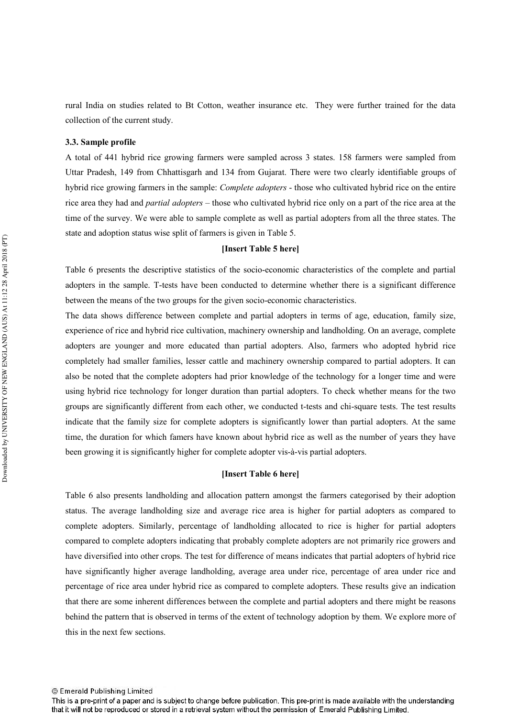rural India on studies related to Bt Cotton, weather insurance etc. They were further trained for the data collection of the current study.

#### **3.3. Sample profile**

A total of 441 hybrid rice growing farmers were sampled across 3 states. 158 farmers were sampled from Uttar Pradesh, 149 from Chhattisgarh and 134 from Gujarat. There were two clearly identifiable groups of hybrid rice growing farmers in the sample: *Complete adopters* - those who cultivated hybrid rice on the entire rice area they had and *partial adopters* – those who cultivated hybrid rice only on a part of the rice area at the time of the survey. We were able to sample complete as well as partial adopters from all the three states. The state and adoption status wise split of farmers is given in Table 5.

## [Insert Table 5 here]

Table 6 presents the descriptive statistics of the socio-economic characteristics of the complete and partial adopters in the sample. T-tests have been conducted to determine whether there is a significant difference between the means of the two groups for the given socio-economic characteristics.

The data shows difference between complete and partial adopters in terms of age, education, family size, experience of rice and hybrid rice cultivation, machinery ownership and landholding. On an average, complete adopters are younger and more educated than partial adopters. Also, farmers who adopted hybrid rice completely had smaller families, lesser cattle and machinery ownership compared to partial adopters. It can also be noted that the complete adopters had prior knowledge of the technology for a longer time and were using hybrid rice technology for longer duration than partial adopters. To check whether means for the two groups are significantly different from each other, we conducted t-tests and chi-square tests. The test results indicate that the family size for complete adopters is significantly lower than partial adopters. At the same time, the duration for which famers have known about hybrid rice as well as the number of years they have been growing it is significantly higher for complete adopter vis-à-vis partial adopters.

## **Insert Table 6 herel**

Table 6 also presents landholding and allocation pattern amongst the farmers categorised by their adoption status. The average landholding size and average rice area is higher for partial adopters as compared to complete adopters. Similarly, percentage of landholding allocated to rice is higher for partial adopters compared to complete adopters indicating that probably complete adopters are not primarily rice growers and have diversified into other crops. The test for difference of means indicates that partial adopters of hybrid rice have significantly higher average landholding, average area under rice, percentage of area under rice and percentage of rice area under hybrid rice as compared to complete adopters. These results give an indication that there are some inherent differences between the complete and partial adopters and there might be reasons behind the pattern that is observed in terms of the extent of technology adoption by them. We explore more of this in the next few sections.

This is a pre-print of a paper and is subject to change before publication. This pre-print is made available with the understanding that it will not be reproduced or stored in a retrieval system without the permission of Emerald Publishing Limited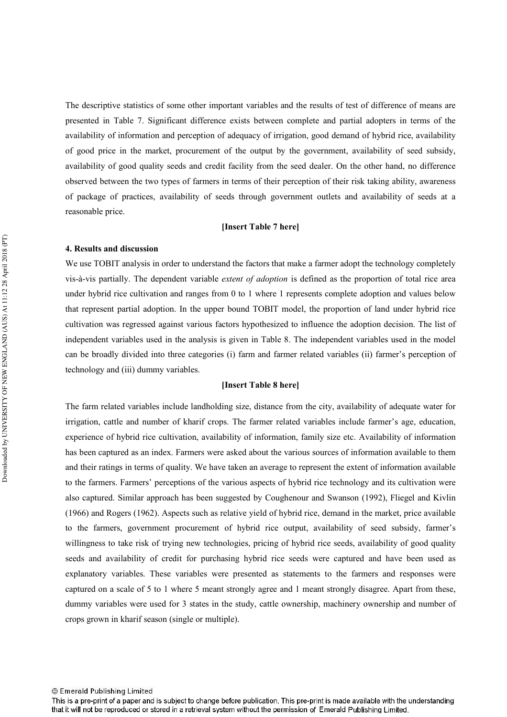The descriptive statistics of some other important variables and the results of test of difference of means are presented in Table 7. Significant difference exists between complete and partial adopters in terms of the availability of information and perception of adequacy of irrigation, good demand of hybrid rice, availability of good price in the market, procurement of the output by the government, availability of seed subsidy, availability of good quality seeds and credit facility from the seed dealer. On the other hand, no difference observed between the two types of farmers in terms of their perception of their risk taking ability, awareness of package of practices, availability of seeds through government outlets and availability of seeds at a reasonable price.

#### [Insert Table 7 here]

#### 4. Results and discussion

We use TOBIT analysis in order to understand the factors that make a farmer adopt the technology completely vis-à-vis partially. The dependent variable *extent of adoption* is defined as the proportion of total rice area under hybrid rice cultivation and ranges from 0 to 1 where 1 represents complete adoption and values below that represent partial adoption. In the upper bound TOBIT model, the proportion of land under hybrid rice cultivation was regressed against various factors hypothesized to influence the adoption decision. The list of independent variables used in the analysis is given in Table 8. The independent variables used in the model can be broadly divided into three categories (i) farm and farmer related variables (ii) farmer's perception of technology and (iii) dummy variables.

## [Insert Table 8 here]

The farm related variables include landholding size, distance from the city, availability of adequate water for irrigation, cattle and number of kharif crops. The farmer related variables include farmer's age, education, experience of hybrid rice cultivation, availability of information, family size etc. Availability of information has been captured as an index. Farmers were asked about the various sources of information available to them and their ratings in terms of quality. We have taken an average to represent the extent of information available to the farmers. Farmers' perceptions of the various aspects of hybrid rice technology and its cultivation were also captured. Similar approach has been suggested by Coughenour and Swanson (1992), Fliegel and Kivlin (1966) and Rogers (1962). Aspects such as relative yield of hybrid rice, demand in the market, price available to the farmers, government procurement of hybrid rice output, availability of seed subsidy, farmer's willingness to take risk of trying new technologies, pricing of hybrid rice seeds, availability of good quality seeds and availability of credit for purchasing hybrid rice seeds were captured and have been used as explanatory variables. These variables were presented as statements to the farmers and responses were captured on a scale of 5 to 1 where 5 meant strongly agree and 1 meant strongly disagree. Apart from these, dummy variables were used for 3 states in the study, cattle ownership, machinery ownership and number of crops grown in kharif season (single or multiple).

This is a pre-print of a paper and is subject to change before publication. This pre-print is made available with the understanding that it will not be reproduced or stored in a retrieval system without the permission of Emerald Publishing Limited.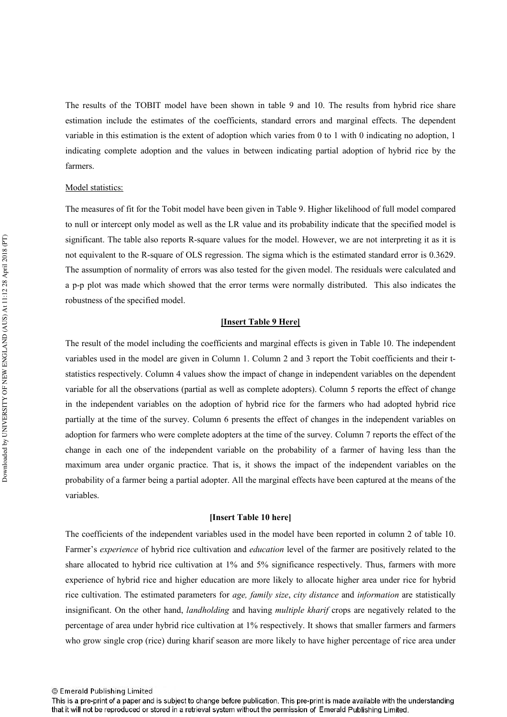The results of the TOBIT model have been shown in table 9 and 10. The results from hybrid rice share estimation include the estimates of the coefficients, standard errors and marginal effects. The dependent variable in this estimation is the extent of adoption which varies from 0 to 1 with 0 indicating no adoption, 1 indicating complete adoption and the values in between indicating partial adoption of hybrid rice by the farmers.

## Model statistics:

The measures of fit for the Tobit model have been given in Table 9. Higher likelihood of full model compared to null or intercept only model as well as the LR value and its probability indicate that the specified model is significant. The table also reports R-square values for the model. However, we are not interpreting it as it is not equivalent to the R-square of OLS regression. The sigma which is the estimated standard error is 0.3629. The assumption of normality of errors was also tested for the given model. The residuals were calculated and a p-p plot was made which showed that the error terms were normally distributed. This also indicates the robustness of the specified model.

# **Insert Table 9 Herel**

The result of the model including the coefficients and marginal effects is given in Table 10. The independent variables used in the model are given in Column 1. Column 2 and 3 report the Tobit coefficients and their tstatistics respectively. Column 4 values show the impact of change in independent variables on the dependent variable for all the observations (partial as well as complete adopters). Column 5 reports the effect of change in the independent variables on the adoption of hybrid rice for the farmers who had adopted hybrid rice partially at the time of the survey. Column 6 presents the effect of changes in the independent variables on adoption for farmers who were complete adopters at the time of the survey. Column 7 reports the effect of the change in each one of the independent variable on the probability of a farmer of having less than the maximum area under organic practice. That is, it shows the impact of the independent variables on the probability of a farmer being a partial adopter. All the marginal effects have been captured at the means of the variables.

## [Insert Table 10 here]

The coefficients of the independent variables used in the model have been reported in column 2 of table 10. Farmer's *experience* of hybrid rice cultivation and *education* level of the farmer are positively related to the share allocated to hybrid rice cultivation at 1% and 5% significance respectively. Thus, farmers with more experience of hybrid rice and higher education are more likely to allocate higher area under rice for hybrid rice cultivation. The estimated parameters for *age, family size, city distance* and *information* are statistically insignificant. On the other hand, *landholding* and having *multiple kharif* crops are negatively related to the percentage of area under hybrid rice cultivation at 1% respectively. It shows that smaller farmers and farmers who grow single crop (rice) during kharif season are more likely to have higher percentage of rice area under

This is a pre-print of a paper and is subject to change before publication. This pre-print is made available with the understanding that it will not be reproduced or stored in a retrieval system without the permission of Emerald Publishing Limited.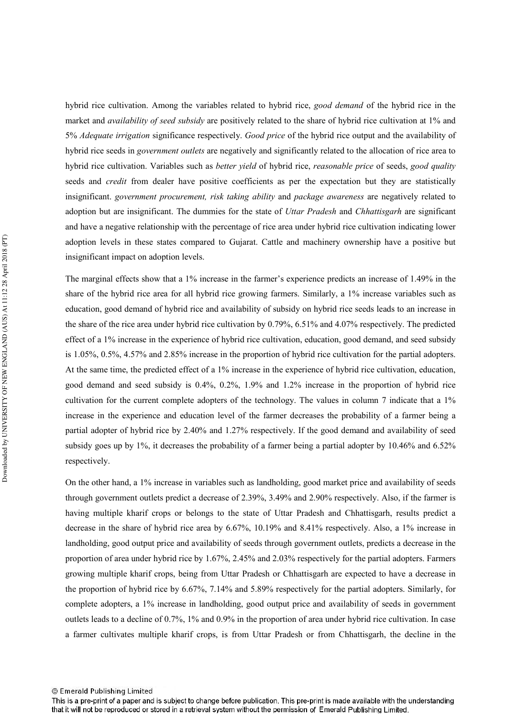hybrid rice cultivation. Among the variables related to hybrid rice, *good demand* of the hybrid rice in the market and *availability of seed subsidy* are positively related to the share of hybrid rice cultivation at 1% and 5% *Adequate irrigation* significance respectively. *Good price* of the hybrid rice output and the availability of hybrid rice seeds in *government outlets* are negatively and significantly related to the allocation of rice area to hybrid rice cultivation. Variables such as *better yield* of hybrid rice, *reasonable price* of seeds, *good quality* seeds and *credit* from dealer have positive coefficients as per the expectation but they are statistically insignificant. *government procurement, risk taking ability* and *package awareness* are negatively related to adoption but are insignificant. The dummies for the state of *Uttar Pradesh* and *Chhattisgarh* are significant and have a negative relationship with the percentage of rice area under hybrid rice cultivation indicating lower adoption levels in these states compared to Gujarat. Cattle and machinery ownership have a positive but insignificant impact on adoption levels.

The marginal effects show that a 1% increase in the farmer's experience predicts an increase of 1.49% in the share of the hybrid rice area for all hybrid rice growing farmers. Similarly, a 1% increase variables such as education, good demand of hybrid rice and availability of subsidy on hybrid rice seeds leads to an increase in the share of the rice area under hybrid rice cultivation by 0.79%, 6.51% and 4.07% respectively. The predicted effect of a 1% increase in the experience of hybrid rice cultivation, education, good demand, and seed subsidy is 1.05%, 0.5%, 4.57% and 2.85% increase in the proportion of hybrid rice cultivation for the partial adopters. At the same time, the predicted effect of a 1% increase in the experience of hybrid rice cultivation, education, good demand and seed subsidy is 0.4%, 0.2%, 1.9% and 1.2% increase in the proportion of hybrid rice cultivation for the current complete adopters of the technology. The values in column 7 indicate that a 1% increase in the experience and education level of the farmer decreases the probability of a farmer being a partial adopter of hybrid rice by 2.40% and 1.27% respectively. If the good demand and availability of seed subsidy goes up by 1%, it decreases the probability of a farmer being a partial adopter by 10.46% and 6.52% respectively.

On the other hand, a 1% increase in variables such as landholding, good market price and availability of seeds through government outlets predict a decrease of 2.39%, 3.49% and 2.90% respectively. Also, if the farmer is having multiple kharif crops or belongs to the state of Uttar Pradesh and Chhattisgarh, results predict a decrease in the share of hybrid rice area by 6.67%, 10.19% and 8.41% respectively. Also, a 1% increase in landholding, good output price and availability of seeds through government outlets, predicts a decrease in the proportion of area under hybrid rice by 1.67%, 2.45% and 2.03% respectively for the partial adopters. Farmers growing multiple kharif crops, being from Uttar Pradesh or Chhattisgarh are expected to have a decrease in the proportion of hybrid rice by 6.67%, 7.14% and 5.89% respectively for the partial adopters. Similarly, for complete adopters, a 1% increase in landholding, good output price and availability of seeds in government outlets leads to a decline of 0.7%, 1% and 0.9% in the proportion of area under hybrid rice cultivation. In case a farmer cultivates multiple kharif crops, is from Uttar Pradesh or from Chhattisgarh, the decline in the

<sup>©</sup> Emerald Publishing Limited

This is a pre-print of a paper and is subject to change before publication. This pre-print is made available with the understanding that it will not be reproduced or stored in a retrieval system without the permission of Emerald Publishing Limited.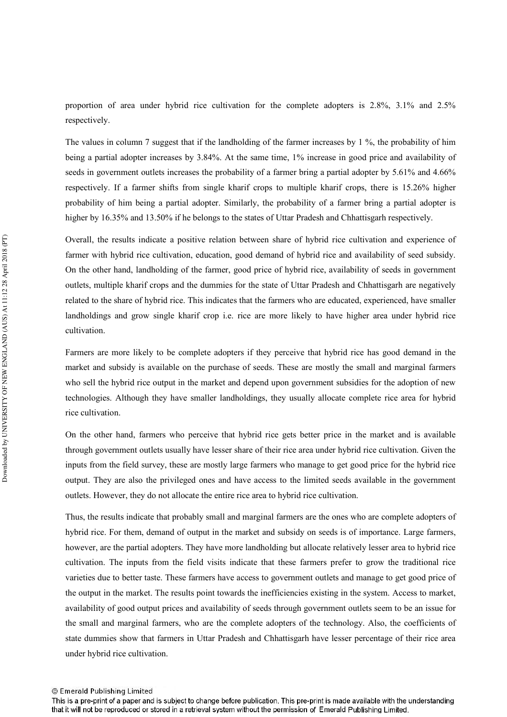proportion of area under hybrid rice cultivation for the complete adopters is 2.8%, 3.1% and 2.5% respectively.

The values in column 7 suggest that if the landholding of the farmer increases by 1 %, the probability of him being a partial adopter increases by 3.84%. At the same time, 1% increase in good price and availability of seeds in government outlets increases the probability of a farmer bring a partial adopter by 5.61% and 4.66% respectively. If a farmer shifts from single kharif crops to multiple kharif crops, there is 15.26% higher probability of him being a partial adopter. Similarly, the probability of a farmer bring a partial adopter is higher by 16.35% and 13.50% if he belongs to the states of Uttar Pradesh and Chhattisgarh respectively.

Overall, the results indicate a positive relation between share of hybrid rice cultivation and experience of farmer with hybrid rice cultivation, education, good demand of hybrid rice and availability of seed subsidy. On the other hand, landholding of the farmer, good price of hybrid rice, availability of seeds in government outlets, multiple kharif crops and the dummies for the state of Uttar Pradesh and Chhattisgarh are negatively related to the share of hybrid rice. This indicates that the farmers who are educated, experienced, have smaller landholdings and grow single kharif crop i.e. rice are more likely to have higher area under hybrid rice cultivation.

Farmers are more likely to be complete adopters if they perceive that hybrid rice has good demand in the market and subsidy is available on the purchase of seeds. These are mostly the small and marginal farmers who sell the hybrid rice output in the market and depend upon government subsidies for the adoption of new technologies. Although they have smaller landholdings, they usually allocate complete rice area for hybrid rice cultivation.

On the other hand, farmers who perceive that hybrid rice gets better price in the market and is available through government outlets usually have lesser share of their rice area under hybrid rice cultivation. Given the inputs from the field survey, these are mostly large farmers who manage to get good price for the hybrid rice output. They are also the privileged ones and have access to the limited seeds available in the government outlets. However, they do not allocate the entire rice area to hybrid rice cultivation.

Thus, the results indicate that probably small and marginal farmers are the ones who are complete adopters of hybrid rice. For them, demand of output in the market and subsidy on seeds is of importance. Large farmers, however, are the partial adopters. They have more landholding but allocate relatively lesser area to hybrid rice cultivation. The inputs from the field visits indicate that these farmers prefer to grow the traditional rice varieties due to better taste. These farmers have access to government outlets and manage to get good price of the output in the market. The results point towards the inefficiencies existing in the system. Access to market, availability of good output prices and availability of seeds through government outlets seem to be an issue for the small and marginal farmers, who are the complete adopters of the technology. Also, the coefficients of state dummies show that farmers in Uttar Pradesh and Chhattisgarh have lesser percentage of their rice area under hybrid rice cultivation.

<sup>©</sup> Emerald Publishing Limited

This is a pre-print of a paper and is subject to change before publication. This pre-print is made available with the understanding that it will not be reproduced or stored in a retrieval system without the permission of Emerald Publishing Limited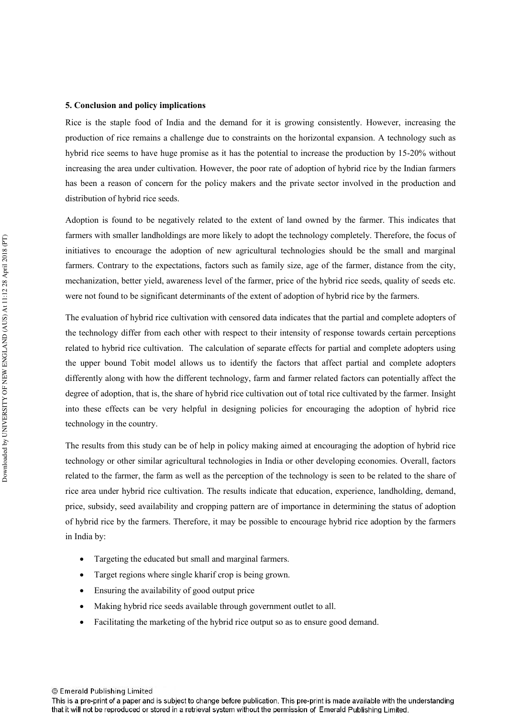#### 5. Conclusion and policy implications

Rice is the staple food of India and the demand for it is growing consistently. However, increasing the production of rice remains a challenge due to constraints on the horizontal expansion. A technology such as hybrid rice seems to have huge promise as it has the potential to increase the production by 15-20% without increasing the area under cultivation. However, the poor rate of adoption of hybrid rice by the Indian farmers has been a reason of concern for the policy makers and the private sector involved in the production and distribution of hybrid rice seeds.

Adoption is found to be negatively related to the extent of land owned by the farmer. This indicates that farmers with smaller landholdings are more likely to adopt the technology completely. Therefore, the focus of initiatives to encourage the adoption of new agricultural technologies should be the small and marginal farmers. Contrary to the expectations, factors such as family size, age of the farmer, distance from the city, mechanization, better yield, awareness level of the farmer, price of the hybrid rice seeds, quality of seeds etc. were not found to be significant determinants of the extent of adoption of hybrid rice by the farmers.

The evaluation of hybrid rice cultivation with censored data indicates that the partial and complete adopters of the technology differ from each other with respect to their intensity of response towards certain perceptions related to hybrid rice cultivation. The calculation of separate effects for partial and complete adopters using the upper bound Tobit model allows us to identify the factors that affect partial and complete adopters differently along with how the different technology, farm and farmer related factors can potentially affect the degree of adoption, that is, the share of hybrid rice cultivation out of total rice cultivated by the farmer. Insight into these effects can be very helpful in designing policies for encouraging the adoption of hybrid rice technology in the country.

The results from this study can be of help in policy making aimed at encouraging the adoption of hybrid rice technology or other similar agricultural technologies in India or other developing economies. Overall, factors related to the farmer, the farm as well as the perception of the technology is seen to be related to the share of rice area under hybrid rice cultivation. The results indicate that education, experience, landholding, demand, price, subsidy, seed availability and cropping pattern are of importance in determining the status of adoption of hybrid rice by the farmers. Therefore, it may be possible to encourage hybrid rice adoption by the farmers in India by:

- Targeting the educated but small and marginal farmers.
- Target regions where single kharif crop is being grown.
- Ensuring the availability of good output price
- Making hybrid rice seeds available through government outlet to all.
- Facilitating the marketing of the hybrid rice output so as to ensure good demand.

This is a pre-print of a paper and is subject to change before publication. This pre-print is made available with the understanding that it will not be reproduced or stored in a retrieval system without the permission of Emerald Publishing Limited.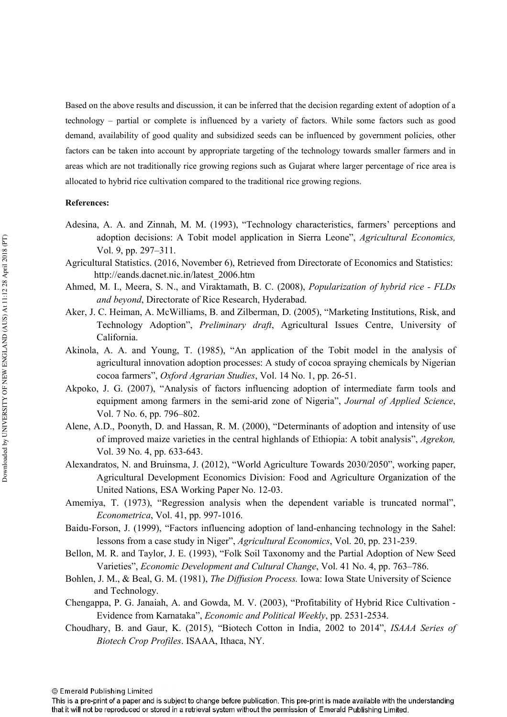Based on the above results and discussion, it can be inferred that the decision regarding extent of adoption of a technology – partial or complete is influenced by a variety of factors. While some factors such as good demand, availability of good quality and subsidized seeds can be influenced by government policies, other factors can be taken into account by appropriate targeting of the technology towards smaller farmers and in areas which are not traditionally rice growing regions such as Gujarat where larger percentage of rice area is allocated to hybrid rice cultivation compared to the traditional rice growing regions.

#### **.**

- Adesina, A. A. and Zinnah, M. M. (1993), "Technology characteristics, farmers' perceptions and adoption decisions: A Tobit model application in Sierra Leone", *Agricultural Economics*, Vol. 9, pp. 297–311.
- Agricultural Statistics. (2016, November 6), Retrieved from Directorate of Economics and Statistics: http://eands.dacnet.nic.in/latest\_2006.htm
- Ahmed, M. I., Meera, S. N., and Viraktamath, B. C. (2008), *Popularization of hybrid rice FLDs* , Directorate of Rice Research, Hyderabad.
- Aker, J. C. Heiman, A. McWilliams, B. and Zilberman, D. (2005), "Marketing Institutions, Risk, and Technology Adoption", Preliminary draft, Agricultural Issues Centre, University of California.
- Akinola, A. A. and Young, T. (1985), "An application of the Tobit model in the analysis of agricultural innovation adoption processes: A study of cocoa spraying chemicals by Nigerian cocoa farmers", *Oxford Agrarian Studies*, Vol. 14 No. 1, pp. 26-51.
- Akpoko, J. G. (2007), "Analysis of factors influencing adoption of intermediate farm tools and equipment among farmers in the semi-arid zone of Nigeria", *Journal of Applied Science*, Vol. 7 No. 6, pp. 796–802.
- Alene, A.D., Poonyth, D. and Hassan, R. M. (2000), "Determinants of adoption and intensity of use of improved maize varieties in the central highlands of Ethiopia: A tobit analysis", Vol. 39 No. 4, pp. 633-643.
- Alexandratos, N. and Bruinsma, J. (2012), "World Agriculture Towards 2030/2050", working paper, Agricultural Development Economics Division: Food and Agriculture Organization of the United Nations, ESA Working Paper No. 12-03.
- Amemiya, T. (1973), "Regression analysis when the dependent variable is truncated normal", *Econometrica*, Vol. 41, pp. 997-1016.
- Baidu-Forson, J. (1999), "Factors influencing adoption of land-enhancing technology in the Sahel: lessons from a case study in Niger", *Agricultural Economics*, Vol. 20, pp. 231-239.
- Bellon, M. R. and Taylor, J. E. (1993), "Folk Soil Taxonomy and the Partial Adoption of New Seed Varieties", *Economic Development and Cultural Change*, Vol. 41 No. 4, pp. 763–786.
- Bohlen, J. M., & Beal, G. M. (1981), *The Diffusion Process*. Iowa: Iowa State University of Science and Technology.
- Chengappa, P. G. Janaiah, A. and Gowda, M. V. (2003), "Profitability of Hybrid Rice Cultivation 2 Evidence from Karnataka", *Economic and Political Weekly*, pp. 2531-2534.
- Choudhary, B. and Gaur, K. (2015), "Biotech Cotton in India, 2002 to 2014", *ISAAA Series of* Biotech Crop Profiles. ISAAA, Ithaca, NY.

This is a pre-print of a paper and is subject to change before publication. This pre-print is made available with the understanding that it will not be reproduced or stored in a retrieval system without the permission of Emerald Publishing Limited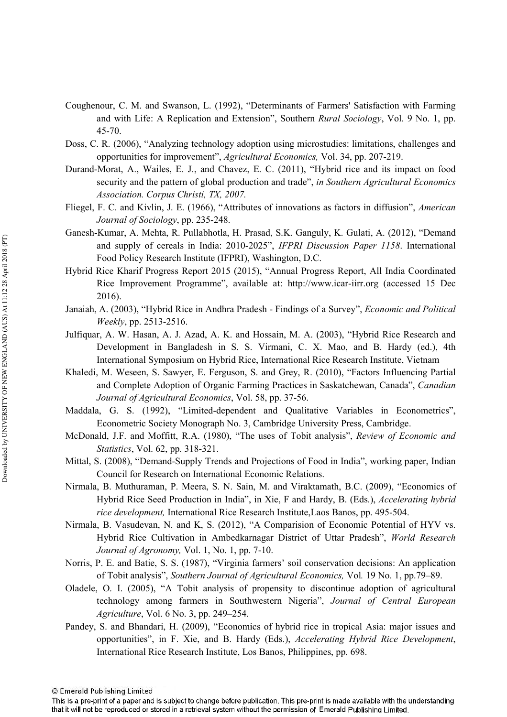- Coughenour, C. M. and Swanson, L. (1992), "Determinants of Farmers' Satisfaction with Farming and with Life: A Replication and Extension", Southern *Rural Sociology*, Vol. 9 No. 1, pp. 45270.
- Doss, C. R. (2006), "Analyzing technology adoption using microstudies: limitations, challenges and opportunities for improvement", *Agricultural Economics*, Vol. 34, pp. 207-219.
- Durand2Morat, A., Wailes, E. J., and Chavez, E. C. (2011), "Hybrid rice and its impact on food security and the pattern of global production and trade", in Southern Agricultural Economics *Association. Corpus Christi, TX, 2007.*
- Fliegel, F. C. and Kivlin, J. E. (1966), "Attributes of innovations as factors in diffusion", *American Journal of Sociology*, pp. 235-248.
- Ganesh-Kumar, A. Mehta, R. Pullabhotla, H. Prasad, S.K. Ganguly, K. Gulati, A. (2012), "Demand and supply of cereals in India: 2010-2025", *IFPRI Discussion Paper 1158*. International Food Policy Research Institute (IFPRI), Washington, D.C.
- Hybrid Rice Kharif Progress Report 2015 (2015), "Annual Progress Report, All India Coordinated Rice Improvement Programme", available at: http://www.icar-iirr.org (accessed 15 Dec 2016).
- Janaiah, A. (2003), "Hybrid Rice in Andhra Pradesh Findings of a Survey", *Economic and Political Weekly*, pp. 2513-2516.
- Julfiquar, A. W. Hasan, A. J. Azad, A. K. and Hossain, M. A. (2003), "Hybrid Rice Research and Development in Bangladesh in S. S. Virmani, C. X. Mao, and B. Hardy (ed.), 4th International Symposium on Hybrid Rice, International Rice Research Institute, Vietnam
- Khaledi, M. Weseen, S. Sawyer, E. Ferguson, S. and Grey, R. (2010), "Factors Influencing Partial and Complete Adoption of Organic Farming Practices in Saskatchewan, Canada",  *Journal of Agricultural Economics*, Vol. 58, pp. 37-56.
- Maddala, G. S. (1992), "Limited-dependent and Qualitative Variables in Econometrics", Econometric Society Monograph No. 3, Cambridge University Press, Cambridge.
- McDonald, J.F. and Moffitt, R.A. (1980), "The uses of Tobit analysis", *Review of Economic and Statistics*, Vol. 62, pp. 318-321.
- Mittal, S. (2008), "Demand-Supply Trends and Projections of Food in India", working paper, Indian Council for Research on International Economic Relations.
- Nirmala, B. Muthuraman, P. Meera, S. N. Sain, M. and Viraktamath, B.C. (2009), "Economics of Hybrid Rice Seed Production in India", in Xie, F and Hardy, B. (Eds.), *Accelerating hybrid* rice development, International Rice Research Institute,Laos Banos, pp. 495-504.
- Nirmala, B. Vasudevan, N. and K, S. (2012), "A Comparision of Economic Potential of HYV vs. Hybrid Rice Cultivation in Ambedkarnagar District of Uttar Pradesh", World Research *Journal of Agronomy*, Vol. 1, No. 1, pp. 7-10.
- Norris, P. E. and Batie, S. S. (1987), "Virginia farmers' soil conservation decisions: An application of Tobit analysis", Southern Journal of Agricultural Economics, Vol. 19 No. 1, pp.79–89.
- Oladele, O. I. (2005), "A Tobit analysis of propensity to discontinue adoption of agricultural technology among farmers in Southwestern Nigeria", Journal of Central European *Agriculture*, Vol. 6 No. 3, pp. 249–254.
- Pandey, S. and Bhandari, H. (2009), "Economics of hybrid rice in tropical Asia: major issues and opportunities", in F. Xie, and B. Hardy (Eds.), *Accelerating Hybrid Rice Development*, International Rice Research Institute, Los Banos, Philippines, pp. 698.

<sup>©</sup> Emerald Publishing Limited

This is a pre-print of a paper and is subject to change before publication. This pre-print is made available with the understanding that it will not be reproduced or stored in a retrieval system without the permission of Emerald Publishing Limited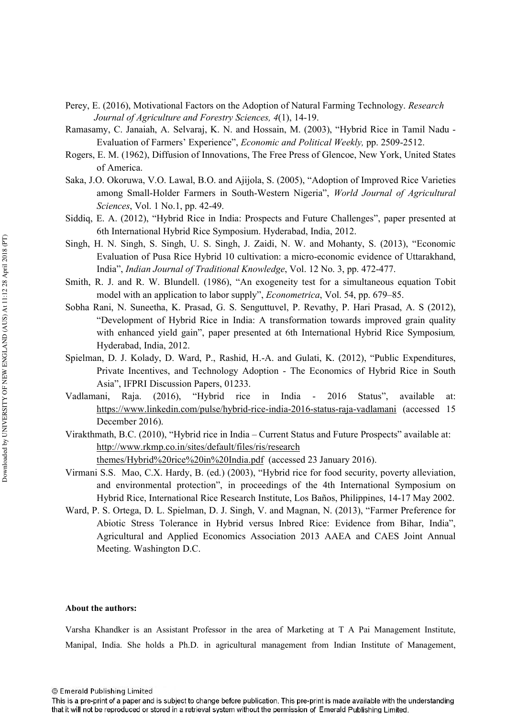- Perey, E. (2016), Motivational Factors on the Adoption of Natural Farming Technology. *Research Journal of Agriculture and Forestry Sciences, 4(1), 14-19.*
- Ramasamy, C. Janaiah, A. Selvaraj, K. N. and Hossain, M. (2003), "Hybrid Rice in Tamil Nadu 2 Evaluation of Farmers' Experience", *Economic and Political Weekly*, pp. 2509-2512.
- Rogers, E. M. (1962), Diffusion of Innovations, The Free Press of Glencoe, New York, United States of America.
- Saka, J.O. Okoruwa, V.O. Lawal, B.O. and Ajijola, S. (2005), "Adoption of Improved Rice Varieties among Small-Holder Farmers in South-Western Nigeria", World Journal of Agricultural *Sciences*, Vol. 1 No.1, pp. 42-49.
- Siddiq, E. A. (2012), "Hybrid Rice in India: Prospects and Future Challenges", paper presented at 6th International Hybrid Rice Symposium. Hyderabad, India, 2012.
- Singh, H. N. Singh, S. Singh, U. S. Singh, J. Zaidi, N. W. and Mohanty, S. (2013), "Economic Evaluation of Pusa Rice Hybrid 10 cultivation: a micro-economic evidence of Uttarakhand, India", *Indian Journal of Traditional Knowledge*, Vol. 12 No. 3, pp. 472-477.
- Smith, R. J. and R. W. Blundell. (1986), "An exogeneity test for a simultaneous equation Tobit model with an application to labor supply", *Econometrica*, Vol. 54, pp. 679–85.
- Sobha Rani, N. Suneetha, K. Prasad, G. S. Senguttuvel, P. Revathy, P. Hari Prasad, A. S (2012), "Development of Hybrid Rice in India: A transformation towards improved grain quality with enhanced yield gain", paper presented at 6th International Hybrid Rice Symposium, Hyderabad, India, 2012.
- Spielman, D. J. Kolady, D. Ward, P., Rashid, H.-A. and Gulati, K. (2012), "Public Expenditures, Private Incentives, and Technology Adoption - The Economics of Hybrid Rice in South Asia", IFPRI Discussion Papers, 01233.
- Vadlamani, Raja. (2016), "Hybrid rice in India 2 2016 Status", available at: https://www.linkedin.com/pulse/hybrid-rice-india-2016-status-raja-vadlamani (accessed 15 December 2016).
- Virakthmath, B.C. (2010), "Hybrid rice in India Current Status and Future Prospects" available at: http://www.rkmp.co.in/sites/default/files/ris/research

themes/Hybrid%20rice%20in%20India.pdf (accessed 23 January 2016).

- Virmani S.S. Mao, C.X. Hardy, B. (ed.) (2003), "Hybrid rice for food security, poverty alleviation, and environmental protection", in proceedings of the 4th International Symposium on Hybrid Rice, International Rice Research Institute, Los Baños, Philippines, 14-17 May 2002.
- Ward, P. S. Ortega, D. L. Spielman, D. J. Singh, V. and Magnan, N. (2013), "Farmer Preference for Abiotic Stress Tolerance in Hybrid versus Inbred Rice: Evidence from Bihar, India", Agricultural and Applied Economics Association 2013 AAEA and CAES Joint Annual Meeting. Washington D.C.

#### *About the authors:*

Varsha Khandker is an Assistant Professor in the area of Marketing at T A Pai Management Institute, Manipal, India. She holds a Ph.D. in agricultural management from Indian Institute of Management,

This is a pre-print of a paper and is subject to change before publication. This pre-print is made available with the understanding that it will not be reproduced or stored in a retrieval system without the permission of Emerald Publishing Limited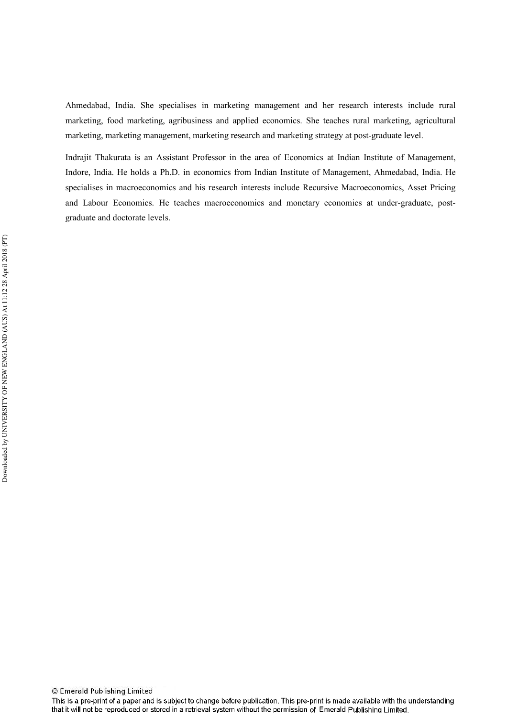Ahmedabad, India. She specialises in marketing management and her research interests include rural marketing, food marketing, agribusiness and applied economics. She teaches rural marketing, agricultural marketing, marketing management, marketing research and marketing strategy at post-graduate level.

Indrajit Thakurata is an Assistant Professor in the area of Economics at Indian Institute of Management, Indore, India. He holds a Ph.D. in economics from Indian Institute of Management, Ahmedabad, India. He specialises in macroeconomics and his research interests include Recursive Macroeconomics, Asset Pricing and Labour Economics. He teaches macroeconomics and monetary economics at under-graduate, postgraduate and doctorate levels.

This is a pre-print of a paper and is subject to change before publication. This pre-print is made available with the understanding that it will not be reproduced or stored in a retrieval system without the permission of Emerald Publishing Limited.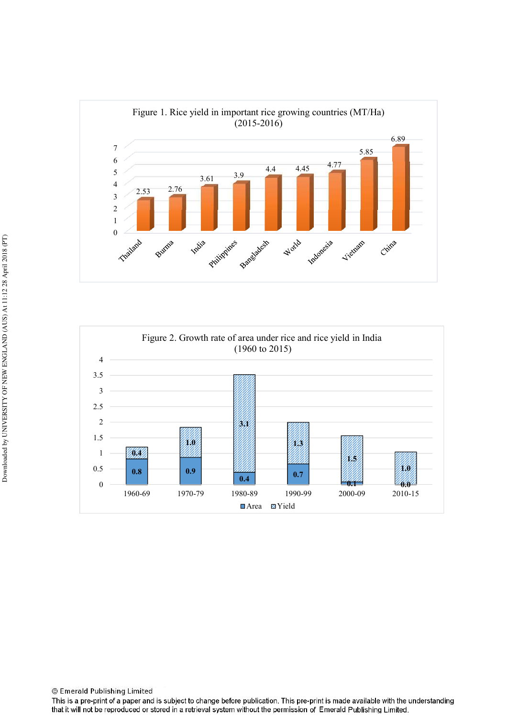



This is a pre-print of a paper and is subject to change before publication. This pre-print is made available with the understanding that it will not be reproduced or stored in a retrieval system without the permission of Emerald Publishing Limited.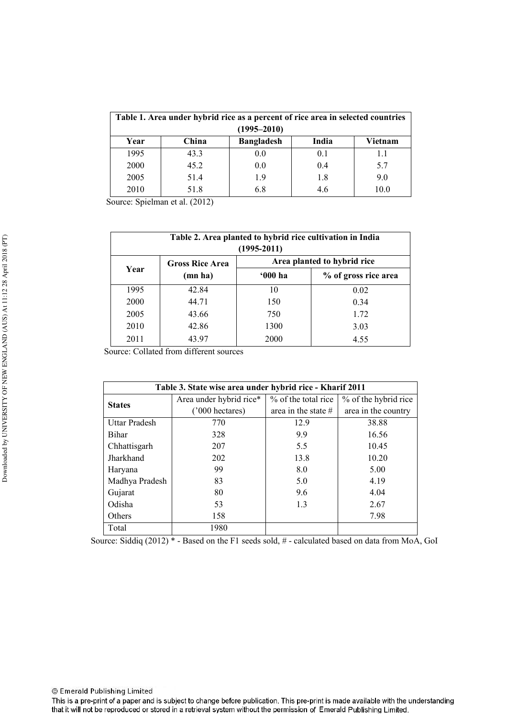| Table 1. Area under hybrid rice as a percent of rice area in selected countries |                 |                   |                |         |  |  |  |
|---------------------------------------------------------------------------------|-----------------|-------------------|----------------|---------|--|--|--|
|                                                                                 | $(1995 - 2010)$ |                   |                |         |  |  |  |
| Year                                                                            | China           | <b>Bangladesh</b> | India          | Vietnam |  |  |  |
| 1995                                                                            | 43.3            | 0.0               | 0 <sub>1</sub> |         |  |  |  |
| 2000                                                                            | 45.2            | 0.0               | 0 <sub>4</sub> | 5.7     |  |  |  |
| 2005                                                                            | 51.4            | 1.9               | 1.8            | 9.0     |  |  |  |
| 2010                                                                            | 51.8            | 6.8               | 4.6            | 10.0    |  |  |  |

Source: Spielman et al. (2012)

|      | Table 2. Area planted to hybrid rice cultivation in India<br>$(1995 - 2011)$ |         |                      |  |  |  |
|------|------------------------------------------------------------------------------|---------|----------------------|--|--|--|
|      | Area planted to hybrid rice<br><b>Gross Rice Area</b>                        |         |                      |  |  |  |
| Year | (mn ha)                                                                      | '000 ha | % of gross rice area |  |  |  |
| 1995 | 42.84                                                                        | 10      | 0.02                 |  |  |  |
| 2000 | 44.71                                                                        | 150     | 0.34                 |  |  |  |
| 2005 | 43.66                                                                        | 750     | 1.72                 |  |  |  |
| 2010 | 42.86                                                                        | 1300    | 3.03                 |  |  |  |
| 2011 | 43.97                                                                        | 2000    | 4.55                 |  |  |  |

Source: Collated from different sources

| Table 3. State wise area under hybrid rice - Kharif 2011 |                         |                       |                      |  |  |  |
|----------------------------------------------------------|-------------------------|-----------------------|----------------------|--|--|--|
|                                                          | Area under hybrid rice* | % of the total rice   | % of the hybrid rice |  |  |  |
| <b>States</b>                                            | ('000 hectares)         | area in the state $#$ | area in the country  |  |  |  |
| <b>Uttar Pradesh</b>                                     | 770                     | 12.9                  | 38.88                |  |  |  |
| Bihar                                                    | 328                     | 9.9                   | 16.56                |  |  |  |
| Chhattisgarh                                             | 207                     | 5.5                   | 10.45                |  |  |  |
| Jharkhand                                                | 202                     | 13.8                  | 10.20                |  |  |  |
| Haryana                                                  | 99                      | 8.0                   | 5.00                 |  |  |  |
| Madhya Pradesh                                           | 83                      | 5.0                   | 4.19                 |  |  |  |
| Gujarat                                                  | 80                      | 9.6                   | 4.04                 |  |  |  |
| Odisha                                                   | 53                      | 1.3                   | 2.67                 |  |  |  |
| Others                                                   | 158                     |                       | 7.98                 |  |  |  |
| Total                                                    | 1980                    |                       |                      |  |  |  |

Source: Siddiq  $(2012)$  \* - Based on the F1 seeds sold,  $#$  - calculated based on data from MoA, GoI

© Emerald Publishing Limited

This is a pre-print of a paper and is subject to change before publication. This pre-print is made available with the understanding that it will not be reproduced or stored in a retrieval system without the permission of Emerald Publishing Limited.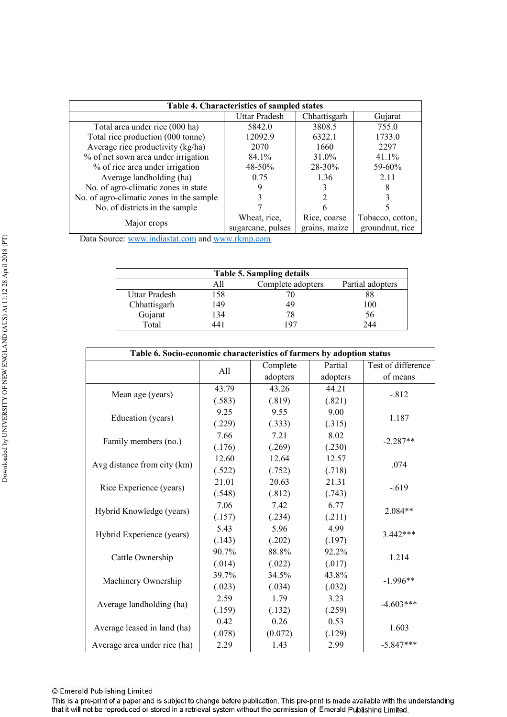| Table 4. Characteristics of sampled states |                   |                |                  |  |
|--------------------------------------------|-------------------|----------------|------------------|--|
|                                            | Uttar Pradesh     | Chhattisgarh   | Gujarat          |  |
| Total area under rice (000 ha)             | 5842.0            | 3808.5         | 755.0            |  |
| Total rice production (000 tonne)          | 12092.9           | 6322.1         | 1733.0           |  |
| Average rice productivity (kg/ha)          | 2070              | 1660           | 2297             |  |
| % of net sown area under irrigation        | 84.1%             | 31.0%          | 41.1%            |  |
| % of rice area under irrigation            | $48 - 50\%$       | 28-30%         | 59-60%           |  |
| Average landholding (ha)                   | 0.75              | 1.36           | 2.11             |  |
| No. of agro-climatic zones in state        | 9                 | 3              |                  |  |
| No. of agro-climatic zones in the sample   |                   | $\overline{c}$ |                  |  |
| No. of districts in the sample             |                   | 6              |                  |  |
|                                            | Wheat, rice,      | Rice, coarse   | Tobacco, cotton, |  |
| Major crops                                | sugarcane, pulses | grains, maize  | groundnut, rice  |  |
|                                            |                   |                |                  |  |

Data Source: www.indiastat.com and www.rkmp.com

| <b>Table 5. Sampling details</b>             |     |     |     |  |  |
|----------------------------------------------|-----|-----|-----|--|--|
| Complete adopters<br>Partial adopters<br>All |     |     |     |  |  |
| Uttar Pradesh                                | 158 |     | 88  |  |  |
| Chhattisgarh                                 | 149 | 49  | 100 |  |  |
| Gujarat                                      | 134 | 78  | 56  |  |  |
| Total                                        | 141 | -97 | 244 |  |  |

| Table 6. Socio-economic characteristics of farmers by adoption status |        |          |          |                    |  |
|-----------------------------------------------------------------------|--------|----------|----------|--------------------|--|
|                                                                       | All    | Complete | Partial  | Test of difference |  |
|                                                                       |        | adopters | adopters | of means           |  |
|                                                                       | 43.79  | 43.26    | 44.21    |                    |  |
| Mean age (years)                                                      | (.583) | (.819)   | (.821)   | $-812$             |  |
|                                                                       | 9.25   | 9.55     | 9.00     | 1.187              |  |
| Education (years)                                                     | (.229) | (.333)   | (.315)   |                    |  |
| Family members (no.)                                                  | 7.66   | 7.21     | 8.02     | $-2.287**$         |  |
|                                                                       | (.176) | (.269)   | (.230)   |                    |  |
| Avg distance from city (km)                                           | 12.60  | 12.64    | 12.57    | .074               |  |
|                                                                       | (.522) | (.752)   | (.718)   |                    |  |
|                                                                       | 21.01  | 20.63    | 21.31    | $-.619$            |  |
| Rice Experience (years)                                               | (.548) | (.812)   | (.743)   |                    |  |
| Hybrid Knowledge (years)                                              | 7.06   | 7.42     | 6.77     | $2.084**$          |  |
|                                                                       | (.157) | (.234)   | (.211)   |                    |  |
| Hybrid Experience (years)                                             | 5.43   | 5.96     | 4.99     | $3.442***$         |  |
|                                                                       | (.143) | (.202)   | (.197)   |                    |  |
| Cattle Ownership                                                      | 90.7%  | 88.8%    | 92.2%    | 1.214              |  |
|                                                                       | (.014) | (.022)   | (.017)   |                    |  |
| Machinery Ownership                                                   | 39.7%  | 34.5%    | 43.8%    | $-1.996**$         |  |
|                                                                       | (.023) | (.034)   | (.032)   |                    |  |
| Average landholding (ha)                                              | 2.59   | 1.79     | 3.23     | $-4.603***$        |  |
|                                                                       | (.159) | (.132)   | (.259)   |                    |  |
| Average leased in land (ha)                                           | 0.42   | 0.26     | 0.53     | 1.603              |  |
|                                                                       | (.078) | (0.072)  | (.129)   |                    |  |
| Average area under rice (ha)                                          | 2.29   | 1.43     | 2.99     | $-5.847***$        |  |

This is a pre-print of a paper and is subject to change before publication. This pre-print is made available with the understanding<br>that it will not be reproduced or stored in a retrieval system without the permission of E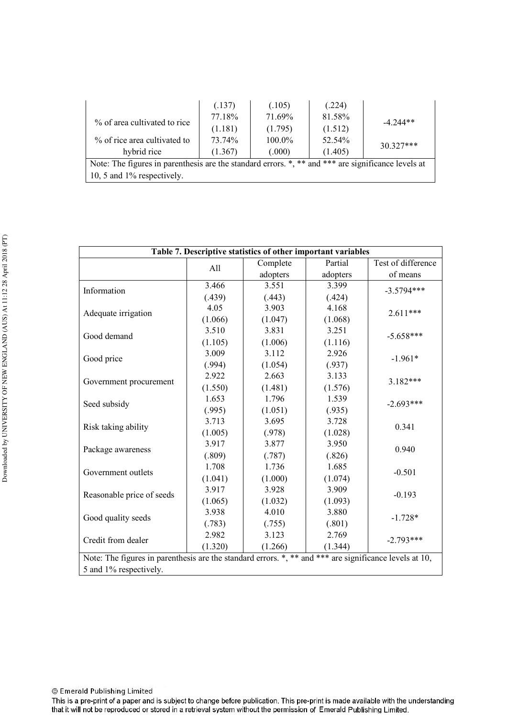|                                                                                                    | (.137)  | (.105)  | (.224)  |             |  |  |
|----------------------------------------------------------------------------------------------------|---------|---------|---------|-------------|--|--|
|                                                                                                    | 77.18%  | 71.69%  | 81.58%  | $-4.244**$  |  |  |
| % of area cultivated to rice                                                                       | (1.181) | (1.795) | (1.512) |             |  |  |
| % of rice area cultivated to                                                                       | 73.74%  | 100.0%  | 52.54%  |             |  |  |
| hybrid rice                                                                                        | (1.367) | (.000)  | (1.405) | $30.327***$ |  |  |
| Note: The figures in parenthesis are the standard errors. *, ** and *** are significance levels at |         |         |         |             |  |  |
| 10, 5 and 1% respectively.                                                                         |         |         |         |             |  |  |

| Table 7. Descriptive statistics of other important variables                                           |         |          |          |                    |  |
|--------------------------------------------------------------------------------------------------------|---------|----------|----------|--------------------|--|
|                                                                                                        | All     | Complete | Partial  | Test of difference |  |
|                                                                                                        |         | adopters | adopters | of means           |  |
| Information                                                                                            | 3.466   | 3.551    | 3.399    | $-3.5794***$       |  |
|                                                                                                        | (.439)  | (.443)   | (.424)   |                    |  |
| Adequate irrigation                                                                                    | 4.05    | 3.903    | 4.168    | $2.611***$         |  |
|                                                                                                        | (1.066) | (1.047)  | (1.068)  |                    |  |
| Good demand                                                                                            | 3.510   | 3.831    | 3.251    | $-5.658***$        |  |
|                                                                                                        | (1.105) | (1.006)  | (1.116)  |                    |  |
| Good price                                                                                             | 3.009   | 3.112    | 2.926    | $-1.961*$          |  |
|                                                                                                        | (.994)  | (1.054)  | (.937)   |                    |  |
| Government procurement                                                                                 | 2.922   | 2.663    | 3.133    | 3.182***           |  |
|                                                                                                        | (1.550) | (1.481)  | (1.576)  |                    |  |
| Seed subsidy                                                                                           | 1.653   | 1.796    | 1.539    | $-2.693***$        |  |
|                                                                                                        | (.995)  | (1.051)  | (.935)   |                    |  |
| Risk taking ability                                                                                    | 3.713   | 3.695    | 3.728    | 0.341              |  |
|                                                                                                        | (1.005) | (.978)   | (1.028)  |                    |  |
| Package awareness                                                                                      | 3.917   | 3.877    | 3.950    | 0.940              |  |
|                                                                                                        | (.809)  | (.787)   | (.826)   |                    |  |
| Government outlets                                                                                     | 1.708   | 1.736    | 1.685    | $-0.501$           |  |
|                                                                                                        | (1.041) | (1.000)  | (1.074)  |                    |  |
| Reasonable price of seeds                                                                              | 3.917   | 3.928    | 3.909    | $-0.193$           |  |
|                                                                                                        | (1.065) | (1.032)  | (1.093)  |                    |  |
|                                                                                                        | 3.938   | 4.010    | 3.880    | $-1.728*$          |  |
| Good quality seeds                                                                                     | (.783)  | (.755)   | (.801)   |                    |  |
|                                                                                                        | 2.982   | 3.123    | 2.769    |                    |  |
| Credit from dealer                                                                                     | (1.320) | (1.266)  | (1.344)  | $-2.793***$        |  |
| Note: The figures in parenthesis are the standard errors. *, ** and *** are significance levels at 10, |         |          |          |                    |  |
| 5 and 1% respectively.                                                                                 |         |          |          |                    |  |

This is a pre-print of a paper and is subject to change before publication. This pre-print is made available with the understanding<br>that it will not be reproduced or stored in a retrieval system without the permission of E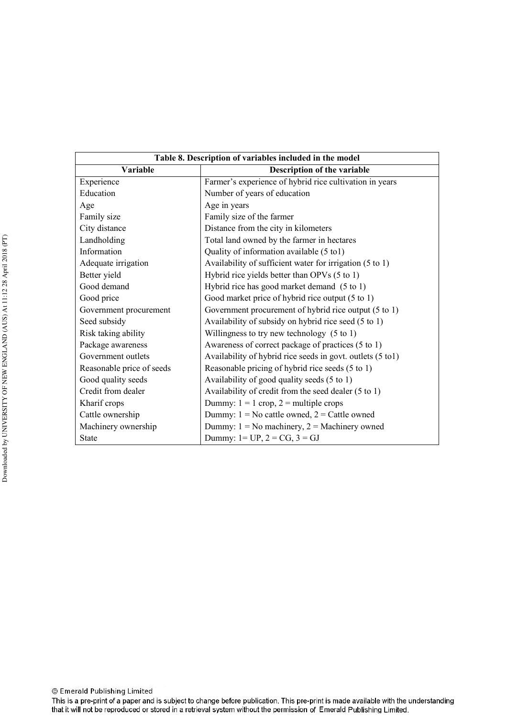| Table 8. Description of variables included in the model |                                                            |  |  |
|---------------------------------------------------------|------------------------------------------------------------|--|--|
| Variable                                                | Description of the variable                                |  |  |
| Experience                                              | Farmer's experience of hybrid rice cultivation in years    |  |  |
| Education                                               | Number of years of education                               |  |  |
| Age                                                     | Age in years                                               |  |  |
| Family size                                             | Family size of the farmer                                  |  |  |
| City distance                                           | Distance from the city in kilometers                       |  |  |
| Landholding                                             | Total land owned by the farmer in hectares                 |  |  |
| Information                                             | Quality of information available (5 to1)                   |  |  |
| Adequate irrigation                                     | Availability of sufficient water for irrigation (5 to 1)   |  |  |
| Better yield                                            | Hybrid rice yields better than OPVs (5 to 1)               |  |  |
| Good demand                                             | Hybrid rice has good market demand (5 to 1)                |  |  |
| Good price                                              | Good market price of hybrid rice output (5 to 1)           |  |  |
| Government procurement                                  | Government procurement of hybrid rice output (5 to 1)      |  |  |
| Seed subsidy                                            | Availability of subsidy on hybrid rice seed (5 to 1)       |  |  |
| Risk taking ability                                     | Willingness to try new technology $(5 \text{ to } 1)$      |  |  |
| Package awareness                                       | Awareness of correct package of practices (5 to 1)         |  |  |
| Government outlets                                      | Availability of hybrid rice seeds in govt. outlets (5 to1) |  |  |
| Reasonable price of seeds                               | Reasonable pricing of hybrid rice seeds (5 to 1)           |  |  |
| Good quality seeds                                      | Availability of good quality seeds (5 to 1)                |  |  |
| Credit from dealer                                      | Availability of credit from the seed dealer (5 to 1)       |  |  |
| Kharif crops                                            | Dummy: $1 = 1$ crop, $2 =$ multiple crops                  |  |  |
| Cattle ownership                                        | Dummy: $1 = No$ cattle owned, $2 =$ Cattle owned           |  |  |
| Machinery ownership                                     | Dummy: $1 = No$ machinery, $2 = Machinery$ owned           |  |  |
| <b>State</b>                                            | Dummy: $1 = UP$ , $2 = CG$ , $3 = GI$                      |  |  |

This is a pre-print of a paper and is subject to change before publication. This pre-print is made available with the understanding<br>that it will not be reproduced or stored in a retrieval system without the permission of E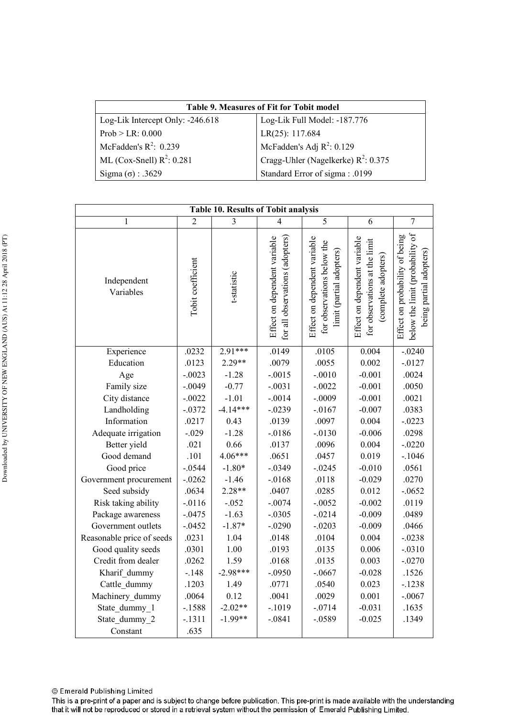| <b>Table 9. Measures of Fit for Tobit model</b> |                                                                        |  |  |
|-------------------------------------------------|------------------------------------------------------------------------|--|--|
| Log-Lik Intercept Only: -246.618                | Log-Lik Full Model: -187.776                                           |  |  |
| $Prob > LR$ : 0.000                             | LR(25): 117.684                                                        |  |  |
| McFadden's $R^2$ : 0.239                        | McFadden's Adj $R^2$ : 0.129<br>Cragg-Uhler (Nagelkerke) $R^2$ : 0.375 |  |  |
| ML (Cox-Snell) $R^2$ : 0.281                    |                                                                        |  |  |
| Sigma $(σ)$ : .3629                             | Standard Error of sigma: .0199                                         |  |  |

| <b>Table 10. Results of Tobit analysis</b> |                   |                |                                                                 |                                                                                        |                                                                                      |                                                                                              |
|--------------------------------------------|-------------------|----------------|-----------------------------------------------------------------|----------------------------------------------------------------------------------------|--------------------------------------------------------------------------------------|----------------------------------------------------------------------------------------------|
| 1                                          | $\overline{2}$    | $\overline{3}$ | $\overline{\mathcal{A}}$                                        | $\overline{5}$                                                                         | 6                                                                                    | $\tau$                                                                                       |
| Independent<br>Variables                   | Tobit coefficient | t-statistic    | for all observations (adopters)<br>Effect on dependent variable | Effect on dependent variable<br>for observations below the<br>limit (partial adopters) | Effect on dependent variable<br>for observations at the limit<br>(complete adopters) | below the limit (probability of<br>Effect on probability of being<br>being partial adopters) |
| Experience                                 | .0232             | $2.91***$      | .0149                                                           | .0105                                                                                  | 0.004                                                                                | $-0.0240$                                                                                    |
| Education                                  | .0123             | $2.29**$       | .0079                                                           | .0055                                                                                  | 0.002                                                                                | $-0127$                                                                                      |
| Age                                        | $-.0023$          | $-1.28$        | $-.0015$                                                        | $-.0010$                                                                               | $-0.001$                                                                             | .0024                                                                                        |
| Family size                                | $-.0049$          | $-0.77$        | $-.0031$                                                        | $-.0022$                                                                               | $-0.001$                                                                             | .0050                                                                                        |
| City distance                              | $-.0022$          | $-1.01$        | $-.0014$                                                        | $-.0009$                                                                               | $-0.001$                                                                             | .0021                                                                                        |
| Landholding                                | $-.0372$          | $-4.14***$     | $-.0239$                                                        | $-.0167$                                                                               | $-0.007$                                                                             | .0383                                                                                        |
| Information                                | .0217             | 0.43           | .0139                                                           | .0097                                                                                  | 0.004                                                                                | $-.0223$                                                                                     |
| Adequate irrigation                        | $-.029$           | $-1.28$        | $-.0186$                                                        | $-.0130$                                                                               | $-0.006$                                                                             | .0298                                                                                        |
| Better yield                               | .021              | 0.66           | .0137                                                           | .0096                                                                                  | 0.004                                                                                | $-.0220$                                                                                     |
| Good demand                                | .101              | 4.06***        | .0651                                                           | .0457                                                                                  | 0.019                                                                                | $-1046$                                                                                      |
| Good price                                 | $-.0544$          | $-1.80*$       | $-.0349$                                                        | $-.0245$                                                                               | $-0.010$                                                                             | .0561                                                                                        |
| Government procurement                     | $-0.0262$         | $-1.46$        | $-0.0168$                                                       | .0118                                                                                  | $-0.029$                                                                             | .0270                                                                                        |
| Seed subsidy                               | .0634             | $2.28**$       | .0407                                                           | .0285                                                                                  | 0.012                                                                                | $-.0652$                                                                                     |
| Risk taking ability                        | $-.0116$          | $-.052$        | $-.0074$                                                        | $-.0052$                                                                               | $-0.002$                                                                             | .0119                                                                                        |
| Package awareness                          | $-.0475$          | $-1.63$        | $-.0305$                                                        | $-.0214$                                                                               | $-0.009$                                                                             | .0489                                                                                        |
| Government outlets                         | $-.0452$          | $-1.87*$       | $-.0290$                                                        | $-.0203$                                                                               | $-0.009$                                                                             | .0466                                                                                        |
| Reasonable price of seeds                  | .0231             | 1.04           | .0148                                                           | .0104                                                                                  | 0.004                                                                                | $-.0238$                                                                                     |
| Good quality seeds                         | .0301             | 1.00           | .0193                                                           | .0135                                                                                  | 0.006                                                                                | $-.0310$                                                                                     |
| Credit from dealer                         | .0262             | 1.59           | .0168                                                           | .0135                                                                                  | 0.003                                                                                | $-.0270$                                                                                     |
| Kharif_dummy                               | $-.148$           | $-2.98***$     | $-.0950$                                                        | $-.0667$                                                                               | $-0.028$                                                                             | .1526                                                                                        |
| Cattle dummy                               | .1203             | 1.49           | .0771                                                           | .0540                                                                                  | 0.023                                                                                | $-1238$                                                                                      |
| Machinery_dummy                            | .0064             | 0.12           | .0041                                                           | .0029                                                                                  | 0.001                                                                                | $-.0067$                                                                                     |
| State_dummy_1                              | $-1588$           | $-2.02**$      | $-.1019$                                                        | $-.0714$                                                                               | $-0.031$                                                                             | .1635                                                                                        |
| State_dummy_2                              | $-1311$           | $-1.99**$      | $-.0841$                                                        | $-.0589$                                                                               | $-0.025$                                                                             | .1349                                                                                        |
| Constant                                   | .635              |                |                                                                 |                                                                                        |                                                                                      |                                                                                              |

© Emerald Publishing Limited

This is a pre-print of a paper and is subject to change before publication. This pre-print is made available with the understanding<br>that it will not be reproduced or stored in a retrieval system without the permission of E